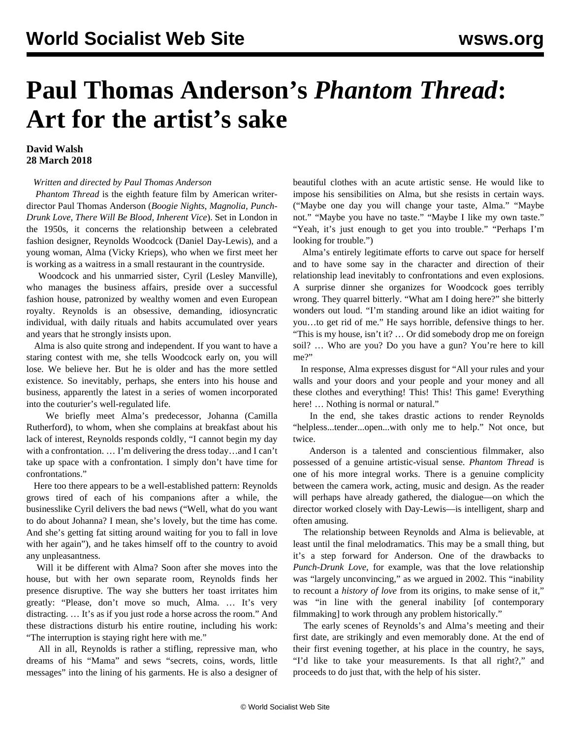## **Paul Thomas Anderson's** *Phantom Thread***: Art for the artist's sake**

## **David Walsh 28 March 2018**

## *Written and directed by Paul Thomas Anderson*

 *Phantom Thread* is the eighth feature film by American writerdirector Paul Thomas Anderson (*Boogie Nights*, *Magnolia, Punch-Drunk Love, There Will Be Blood, Inherent Vice*). Set in London in the 1950s, it concerns the relationship between a celebrated fashion designer, Reynolds Woodcock (Daniel Day-Lewis), and a young woman, Alma (Vicky Krieps), who when we first meet her is working as a waitress in a small restaurant in the countryside.

 Woodcock and his unmarried sister, Cyril (Lesley Manville), who manages the business affairs, preside over a successful fashion house, patronized by wealthy women and even European royalty. Reynolds is an obsessive, demanding, idiosyncratic individual, with daily rituals and habits accumulated over years and years that he strongly insists upon.

 Alma is also quite strong and independent. If you want to have a staring contest with me, she tells Woodcock early on, you will lose. We believe her. But he is older and has the more settled existence. So inevitably, perhaps, she enters into his house and business, apparently the latest in a series of women incorporated into the couturier's well-regulated life.

 We briefly meet Alma's predecessor, Johanna (Camilla Rutherford), to whom, when she complains at breakfast about his lack of interest, Reynolds responds coldly, "I cannot begin my day with a confrontation. … I'm delivering the dress today…and I can't take up space with a confrontation. I simply don't have time for confrontations."

 Here too there appears to be a well-established pattern: Reynolds grows tired of each of his companions after a while, the businesslike Cyril delivers the bad news ("Well, what do you want to do about Johanna? I mean, she's lovely, but the time has come. And she's getting fat sitting around waiting for you to fall in love with her again"), and he takes himself off to the country to avoid any unpleasantness.

 Will it be different with Alma? Soon after she moves into the house, but with her own separate room, Reynolds finds her presence disruptive. The way she butters her toast irritates him greatly: "Please, don't move so much, Alma. … It's very distracting. … It's as if you just rode a horse across the room." And these distractions disturb his entire routine, including his work: "The interruption is staying right here with me."

 All in all, Reynolds is rather a stifling, repressive man, who dreams of his "Mama" and sews "secrets, coins, words, little messages" into the lining of his garments. He is also a designer of beautiful clothes with an acute artistic sense. He would like to impose his sensibilities on Alma, but she resists in certain ways. ("Maybe one day you will change your taste, Alma." "Maybe not." "Maybe you have no taste." "Maybe I like my own taste." "Yeah, it's just enough to get you into trouble." "Perhaps I'm looking for trouble.")

 Alma's entirely legitimate efforts to carve out space for herself and to have some say in the character and direction of their relationship lead inevitably to confrontations and even explosions. A surprise dinner she organizes for Woodcock goes terribly wrong. They quarrel bitterly. "What am I doing here?" she bitterly wonders out loud. "I'm standing around like an idiot waiting for you…to get rid of me." He says horrible, defensive things to her. "This is my house, isn't it? … Or did somebody drop me on foreign soil? … Who are you? Do you have a gun? You're here to kill me?"

 In response, Alma expresses disgust for "All your rules and your walls and your doors and your people and your money and all these clothes and everything! This! This! This game! Everything here! ... Nothing is normal or natural."

 In the end, she takes drastic actions to render Reynolds "helpless...tender...open...with only me to help." Not once, but twice.

 Anderson is a talented and conscientious filmmaker, also possessed of a genuine artistic-visual sense. *Phantom Thread* is one of his more integral works. There is a genuine complicity between the camera work, acting, music and design. As the reader will perhaps have already gathered, the dialogue—on which the director worked closely with Day-Lewis—is intelligent, sharp and often amusing.

 The relationship between Reynolds and Alma is believable, at least until the final melodramatics. This may be a small thing, but it's a step forward for Anderson. One of the drawbacks to *Punch-Drunk Love*, for example, was that the love relationship was "largely unconvincing," as we argued in 2002. This "inability to recount a *history of love* from its origins, to make sense of it," was "in line with the general inability [of contemporary filmmaking] to work through any problem historically."

 The early scenes of Reynolds's and Alma's meeting and their first date, are strikingly and even memorably done. At the end of their first evening together, at his place in the country, he says, "I'd like to take your measurements. Is that all right?," and proceeds to do just that, with the help of his sister.